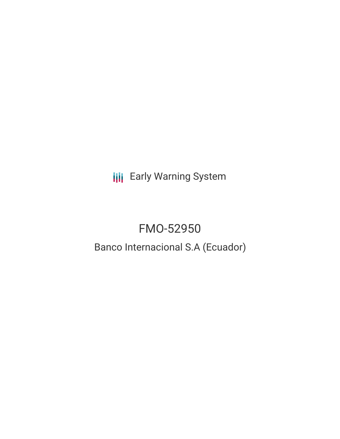**III** Early Warning System

# FMO-52950

## Banco Internacional S.A (Ecuador)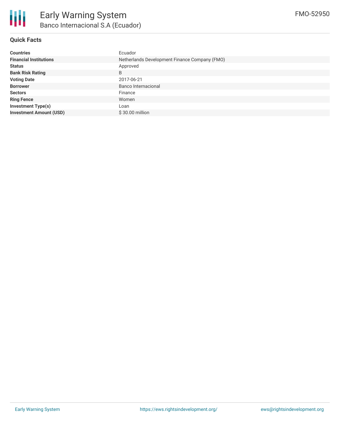

## **Quick Facts**

| <b>Countries</b>               | Ecuador                                       |
|--------------------------------|-----------------------------------------------|
| <b>Financial Institutions</b>  | Netherlands Development Finance Company (FMO) |
| <b>Status</b>                  | Approved                                      |
| <b>Bank Risk Rating</b>        | B                                             |
| <b>Voting Date</b>             | 2017-06-21                                    |
| <b>Borrower</b>                | Banco Internacional                           |
| <b>Sectors</b>                 | Finance                                       |
| <b>Ring Fence</b>              | Women                                         |
| <b>Investment Type(s)</b>      | Loan                                          |
| <b>Investment Amount (USD)</b> | \$30.00 million                               |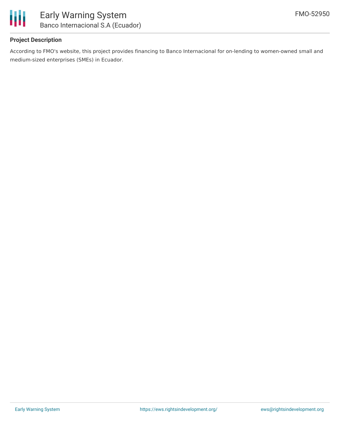

## **Project Description**

According to FMO's website, this project provides financing to Banco Internacional for on-lending to women-owned small and medium-sized enterprises (SMEs) in Ecuador.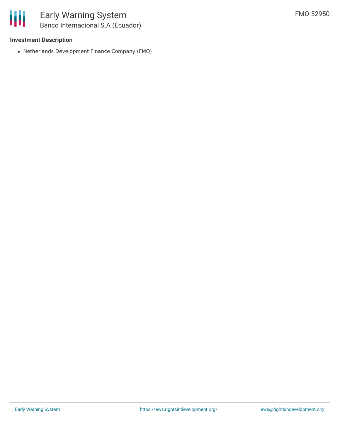#### **Investment Description**

Netherlands Development Finance Company (FMO)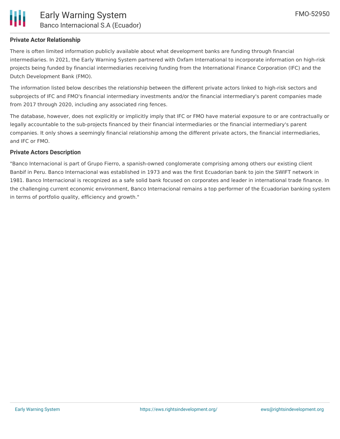

## **Private Actor Relationship**

There is often limited information publicly available about what development banks are funding through financial intermediaries. In 2021, the Early Warning System partnered with Oxfam International to incorporate information on high-risk projects being funded by financial intermediaries receiving funding from the International Finance Corporation (IFC) and the Dutch Development Bank (FMO).

The information listed below describes the relationship between the different private actors linked to high-risk sectors and subprojects of IFC and FMO's financial intermediary investments and/or the financial intermediary's parent companies made from 2017 through 2020, including any associated ring fences.

The database, however, does not explicitly or implicitly imply that IFC or FMO have material exposure to or are contractually or legally accountable to the sub-projects financed by their financial intermediaries or the financial intermediary's parent companies. It only shows a seemingly financial relationship among the different private actors, the financial intermediaries, and IFC or FMO.

#### **Private Actors Description**

"Banco Internacional is part of Grupo Fierro, a spanish-owned conglomerate comprising among others our existing client Banbif in Peru. Banco Internacional was established in 1973 and was the first Ecuadorian bank to join the SWIFT network in 1981. Banco Internacional is recognized as a safe solid bank focused on corporates and leader in international trade finance. In the challenging current economic environment, Banco Internacional remains a top performer of the Ecuadorian banking system in terms of portfolio quality, efficiency and growth."